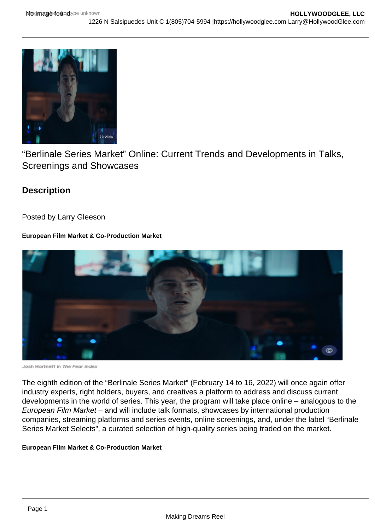# "Berlinale Series Market" Online: Current Trends and Developments in Talks, Screenings and Showcases

**Description** 

Posted by Larry Gleeson

European Film Market & Co-Production Market

The eighth edition of the "Berlinale Series Market" (February 14 to 16, 2022) will once again offer industry experts, right holders, buyers, and creatives a platform to address and discuss current developments in the world of series. This year, the program will take place online – analogous to the European Film Market – and will include talk formats, showcases by international production companies, streaming platforms and series events, online screenings, and, under the label "Berlinale Series Market Selects", a curated selection of high-quality series being traded on the market.

European Film Market & Co-Production Market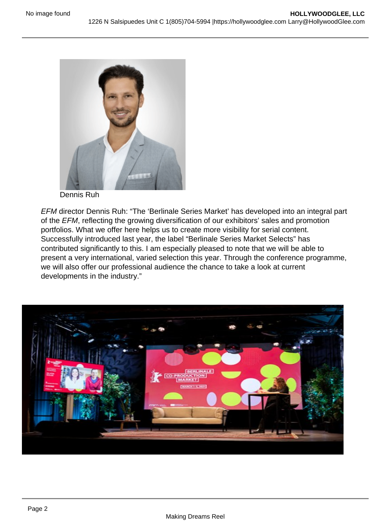## Dennis Ruh

EFM director Dennis Ruh: "The 'Berlinale Series Market' has developed into an integral part of the EFM, reflecting the growing diversification of our exhibitors' sales and promotion portfolios. What we offer here helps us to create more visibility for serial content. Successfully introduced last year, the label "Berlinale Series Market Selects" has contributed significantly to this. I am especially pleased to note that we will be able to present a very international, varied selection this year. Through the conference programme, we will also offer our professional audience the chance to take a look at current developments in the industry."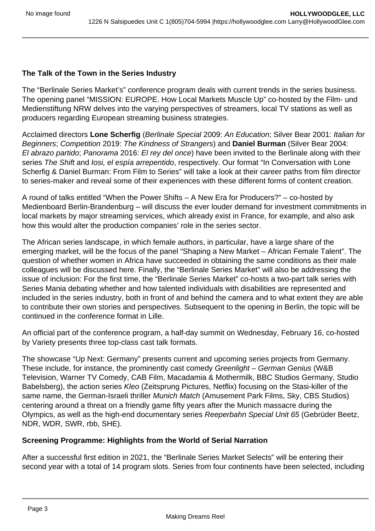## **The Talk of the Town in the Series Industry**

The "Berlinale Series Market's" conference program deals with current trends in the series business. The opening panel "MISSION: EUROPE. How Local Markets Muscle Up" co-hosted by the Film- und Medienstiftung NRW delves into the varying perspectives of streamers, local TV stations as well as producers regarding European streaming business strategies.

Acclaimed directors **Lone Scherfig** (Berlinale Special 2009: An Education; Silver Bear 2001: Italian for Beginners; Competition 2019: The Kindness of Strangers) and **Daniel Burman** (Silver Bear 2004: El abrazo partido; Panorama 2016: El rey del once) have been invited to the Berlinale along with their series The Shift and *Iosi, el espía arrepentido*, respectively. Our format "In Conversation with Lone Scherfig & Daniel Burman: From Film to Series" will take a look at their career paths from film director to series-maker and reveal some of their experiences with these different forms of content creation.

A round of talks entitled "When the Power Shifts – A New Era for Producers?" – co-hosted by Medienboard Berlin-Brandenburg – will discuss the ever louder demand for investment commitments in local markets by major streaming services, which already exist in France, for example, and also ask how this would alter the production companies' role in the series sector.

The African series landscape, in which female authors, in particular, have a large share of the emerging market, will be the focus of the panel "Shaping a New Market – African Female Talent". The question of whether women in Africa have succeeded in obtaining the same conditions as their male colleagues will be discussed here. Finally, the "Berlinale Series Market" will also be addressing the issue of inclusion: For the first time, the "Berlinale Series Market" co-hosts a two-part talk series with Series Mania debating whether and how talented individuals with disabilities are represented and included in the series industry, both in front of and behind the camera and to what extent they are able to contribute their own stories and perspectives. Subsequent to the opening in Berlin, the topic will be continued in the conference format in Lille.

An official part of the conference program, a half-day summit on Wednesday, February 16, co-hosted by Variety presents three top-class cast talk formats.

The showcase "Up Next: Germany" presents current and upcoming series projects from Germany. These include, for instance, the prominently cast comedy Greenlight – German Genius (W&B Television, Warner TV Comedy, CAB Film, Macadamia & Mothermilk, BBC Studios Germany, Studio Babelsberg), the action series Kleo (Zeitsprung Pictures, Netflix) focusing on the Stasi-killer of the same name, the German-Israeli thriller Munich Match (Amusement Park Films, Sky, CBS Studios) centering around a threat on a friendly game fifty years after the Munich massacre during the Olympics, as well as the high-end documentary series Reeperbahn Special Unit 65 (Gebrüder Beetz, NDR, WDR, SWR, rbb, SHE).

## **Screening Programme: Highlights from the World of Serial Narration**

After a successful first edition in 2021, the "Berlinale Series Market Selects" will be entering their second year with a total of 14 program slots. Series from four continents have been selected, including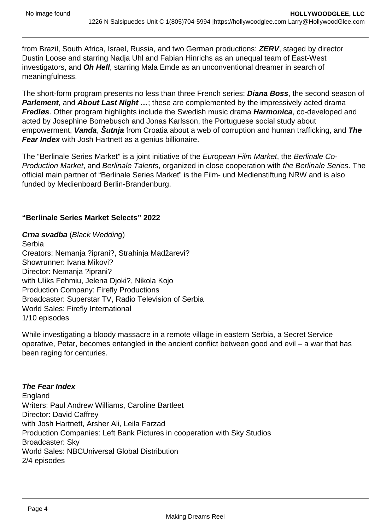from Brazil, South Africa, Israel, Russia, and two German productions: **ZERV**, staged by director Dustin Loose and starring Nadja Uhl and Fabian Hinrichs as an unequal team of East-West investigators, and **Oh Hell**, starring Mala Emde as an unconventional dreamer in search of meaningfulness.

The short-form program presents no less than three French series: **Diana Boss**, the second season of **Parlement**, and **About Last Night ...**; these are complemented by the impressively acted drama **Fredløs**. Other program highlights include the Swedish music drama **Harmonica**, co-developed and acted by Josephine Bornebusch and Jonas Karlsson, the Portuguese social study about empowerment, **Vanda**, **Šutnja** from Croatia about a web of corruption and human trafficking, and **The Fear Index** with Josh Hartnett as a genius billionaire.

The "Berlinale Series Market" is a joint initiative of the European Film Market, the Berlinale Co-Production Market, and Berlinale Talents, organized in close cooperation with the Berlinale Series. The official main partner of "Berlinale Series Market" is the Film- und Medienstiftung NRW and is also funded by Medienboard Berlin-Brandenburg.

## **"Berlinale Series Market Selects" 2022**

**Crna svadba** (Black Wedding) Serbia Creators: Nemanja ?iprani?, Strahinja Madžarevi? Showrunner: Ivana Mikovi? Director: Nemanja ?iprani? with Uliks Fehmiu, Jelena Djoki?, Nikola Kojo Production Company: Firefly Productions Broadcaster: Superstar TV, Radio Television of Serbia World Sales: Firefly International 1/10 episodes

While investigating a bloody massacre in a remote village in eastern Serbia, a Secret Service operative, Petar, becomes entangled in the ancient conflict between good and evil – a war that has been raging for centuries.

## **The Fear Index**

England Writers: Paul Andrew Williams, Caroline Bartleet Director: David Caffrey with Josh Hartnett, Arsher Ali, Leila Farzad Production Companies: Left Bank Pictures in cooperation with Sky Studios Broadcaster: Sky World Sales: NBCUniversal Global Distribution 2/4 episodes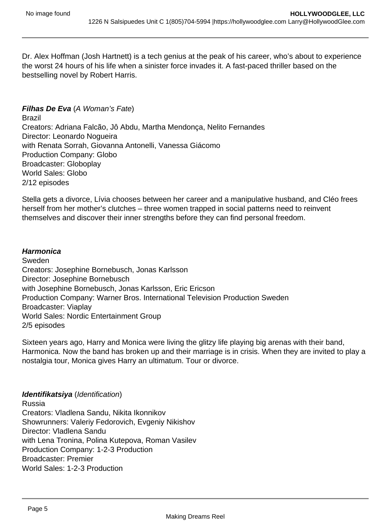Dr. Alex Hoffman (Josh Hartnett) is a tech genius at the peak of his career, who's about to experience the worst 24 hours of his life when a sinister force invades it. A fast-paced thriller based on the bestselling novel by Robert Harris.

## **Filhas De Eva** (A Woman's Fate)

Brazil Creators: Adriana Falcão, Jô Abdu, Martha Mendonça, Nelito Fernandes Director: Leonardo Nogueira with Renata Sorrah, Giovanna Antonelli, Vanessa Giácomo Production Company: Globo Broadcaster: Globoplay World Sales: Globo 2/12 episodes

Stella gets a divorce, Lívia chooses between her career and a manipulative husband, and Cléo frees herself from her mother's clutches – three women trapped in social patterns need to reinvent themselves and discover their inner strengths before they can find personal freedom.

#### **Harmonica**

Sweden Creators: Josephine Bornebusch, Jonas Karlsson Director: Josephine Bornebusch with Josephine Bornebusch, Jonas Karlsson, Eric Ericson Production Company: Warner Bros. International Television Production Sweden Broadcaster: Viaplay World Sales: Nordic Entertainment Group 2/5 episodes

Sixteen years ago, Harry and Monica were living the glitzy life playing big arenas with their band, Harmonica. Now the band has broken up and their marriage is in crisis. When they are invited to play a nostalgia tour, Monica gives Harry an ultimatum. Tour or divorce.

#### **Identifikatsiya** (Identification)

Russia Creators: Vladlena Sandu, Nikita Ikonnikov Showrunners: Valeriy Fedorovich, Evgeniy Nikishov Director: Vladlena Sandu with Lena Tronina, Polina Kutepova, Roman Vasilev Production Company: 1-2-3 Production Broadcaster: Premier World Sales: 1-2-3 Production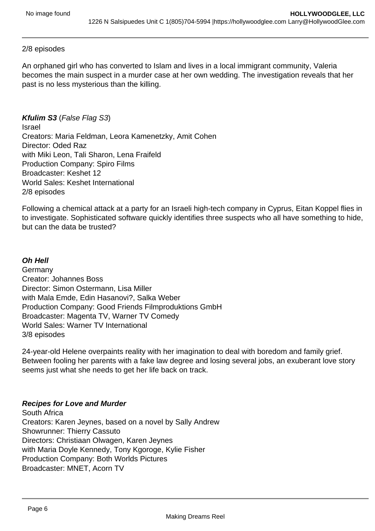## 2/8 episodes

An orphaned girl who has converted to Islam and lives in a local immigrant community, Valeria becomes the main suspect in a murder case at her own wedding. The investigation reveals that her past is no less mysterious than the killing.

**Kfulim S3** (False Flag S3) Israel Creators: Maria Feldman, Leora Kamenetzky, Amit Cohen Director: Oded Raz with Miki Leon, Tali Sharon, Lena Fraifeld Production Company: Spiro Films Broadcaster: Keshet 12 World Sales: Keshet International 2/8 episodes

Following a chemical attack at a party for an Israeli high-tech company in Cyprus, Eitan Koppel flies in to investigate. Sophisticated software quickly identifies three suspects who all have something to hide, but can the data be trusted?

## **Oh Hell**

**Germany** Creator: Johannes Boss Director: Simon Ostermann, Lisa Miller with Mala Emde, Edin Hasanovi?, Salka Weber Production Company: Good Friends Filmproduktions GmbH Broadcaster: Magenta TV, Warner TV Comedy World Sales: Warner TV International 3/8 episodes

24-year-old Helene overpaints reality with her imagination to deal with boredom and family grief. Between fooling her parents with a fake law degree and losing several jobs, an exuberant love story seems just what she needs to get her life back on track.

## **Recipes for Love and Murder**

South Africa Creators: Karen Jeynes, based on a novel by Sally Andrew Showrunner: Thierry Cassuto Directors: Christiaan Olwagen, Karen Jeynes with Maria Doyle Kennedy, Tony Kgoroge, Kylie Fisher Production Company: Both Worlds Pictures Broadcaster: MNET, Acorn TV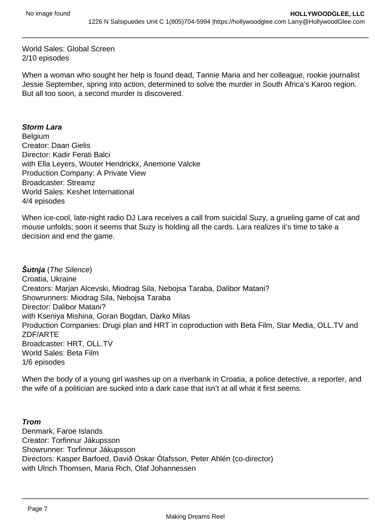World Sales: Global Screen 2/10 episodes

When a woman who sought her help is found dead, Tannie Maria and her colleague, rookie journalist Jessie September, spring into action, determined to solve the murder in South Africa's Karoo region. But all too soon, a second murder is discovered.

#### **Storm Lara**

**Belgium** Creator: Daan Gielis Director: Kadir Ferati Balci with Ella Leyers, Wouter Hendrickx, Anemone Valcke Production Company: A Private View Broadcaster: Streamz World Sales: Keshet International 4/4 episodes

When ice-cool, late-night radio DJ Lara receives a call from suicidal Suzy, a grueling game of cat and mouse unfolds; soon it seems that Suzy is holding all the cards. Lara realizes it's time to take a decision and end the game.

**Šutnja** (The Silence) Croatia, Ukraine Creators: Marjan Alcevski, Miodrag Sila, Nebojsa Taraba, Dalibor Matani? Showrunners: Miodrag Sila, Nebojsa Taraba Director: Dalibor Matani? with Kseniya Mishina, Goran Bogdan, Darko Milas Production Companies: Drugi plan and HRT in coproduction with Beta Film, Star Media, OLL.TV and ZDF/ARTE Broadcaster: HRT, OLL.TV World Sales: Beta Film 1/6 episodes

When the body of a young girl washes up on a riverbank in Croatia, a police detective, a reporter, and the wife of a politician are sucked into a dark case that isn't at all what it first seems.

#### **Trom**

Denmark, Faroe Islands Creator: Torfinnur Jákupsson Showrunner: Torfinnur Jákupsson Directors: Kasper Barfoed, Davið Óskar Ólafsson, Peter Ahlén (co-director) with Ulrich Thomsen, Maria Rich, Olaf Johannessen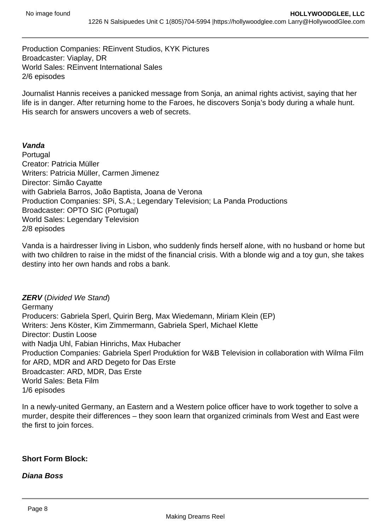Production Companies: REinvent Studios, KYK Pictures Broadcaster: Viaplay, DR World Sales: REinvent International Sales 2/6 episodes

Journalist Hannis receives a panicked message from Sonja, an animal rights activist, saying that her life is in danger. After returning home to the Faroes, he discovers Sonja's body during a whale hunt. His search for answers uncovers a web of secrets.

#### **Vanda**

Portugal Creator: Patricia Müller Writers: Patricia Müller, Carmen Jimenez Director: Simão Cayatte with Gabriela Barros, João Baptista, Joana de Verona Production Companies: SPi, S.A.; Legendary Television; La Panda Productions Broadcaster: OPTO SIC (Portugal) World Sales: Legendary Television 2/8 episodes

Vanda is a hairdresser living in Lisbon, who suddenly finds herself alone, with no husband or home but with two children to raise in the midst of the financial crisis. With a blonde wig and a toy gun, she takes destiny into her own hands and robs a bank.

**ZERV** (Divided We Stand) **Germany** Producers: Gabriela Sperl, Quirin Berg, Max Wiedemann, Miriam Klein (EP) Writers: Jens Köster, Kim Zimmermann, Gabriela Sperl, Michael Klette Director: Dustin Loose with Nadja Uhl, Fabian Hinrichs, Max Hubacher Production Companies: Gabriela Sperl Produktion for W&B Television in collaboration with Wilma Film for ARD, MDR and ARD Degeto for Das Erste Broadcaster: ARD, MDR, Das Erste World Sales: Beta Film 1/6 episodes

In a newly-united Germany, an Eastern and a Western police officer have to work together to solve a murder, despite their differences – they soon learn that organized criminals from West and East were the first to join forces.

#### **Short Form Block:**

**Diana Boss**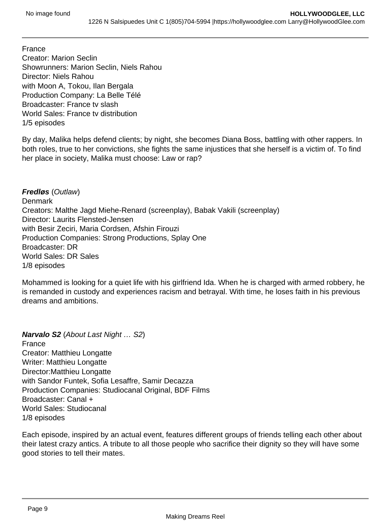France Creator: Marion Seclin Showrunners: Marion Seclin, Niels Rahou Director: Niels Rahou with Moon A, Tokou, Ilan Bergala Production Company: La Belle Télé Broadcaster: France tv slash World Sales: France tv distribution 1/5 episodes

By day, Malika helps defend clients; by night, she becomes Diana Boss, battling with other rappers. In both roles, true to her convictions, she fights the same injustices that she herself is a victim of. To find her place in society, Malika must choose: Law or rap?

**Fredløs** (Outlaw) **Denmark** Creators: Malthe Jagd Miehe-Renard (screenplay), Babak Vakili (screenplay) Director: Laurits Flensted-Jensen with Besir Zeciri, Maria Cordsen, Afshin Firouzi Production Companies: Strong Productions, Splay One Broadcaster: DR World Sales: DR Sales 1/8 episodes

Mohammed is looking for a quiet life with his girlfriend Ida. When he is charged with armed robbery, he is remanded in custody and experiences racism and betrayal. With time, he loses faith in his previous dreams and ambitions.

**Narvalo S2** (About Last Night … S2) France Creator: Matthieu Longatte Writer: Matthieu Longatte Director:Matthieu Longatte with Sandor Funtek, Sofia Lesaffre, Samir Decazza Production Companies: Studiocanal Original, BDF Films Broadcaster: Canal + World Sales: Studiocanal 1/8 episodes

Each episode, inspired by an actual event, features different groups of friends telling each other about their latest crazy antics. A tribute to all those people who sacrifice their dignity so they will have some good stories to tell their mates.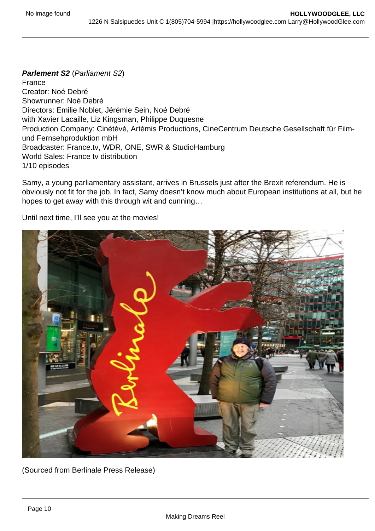Parlement S2 (Parliament S2) France Creator: Noé Debré Showrunner: Noé Debré Directors: Emilie Noblet, Jérémie Sein, Noé Debré with Xavier Lacaille, Liz Kingsman, Philippe Duquesne Production Company: Cinétévé, Artémis Productions, CineCentrum Deutsche Gesellschaft für Filmund Fernsehproduktion mbH Broadcaster: France.tv, WDR, ONE, SWR & StudioHamburg World Sales: France tv distribution 1/10 episodes

Samy, a young parliamentary assistant, arrives in Brussels just after the Brexit referendum. He is obviously not fit for the job. In fact, Samy doesn't know much about European institutions at all, but he hopes to get away with this through wit and cunning…

Until next time, I'll see you at the movies!

(Sourced from Berlinale Press Release)